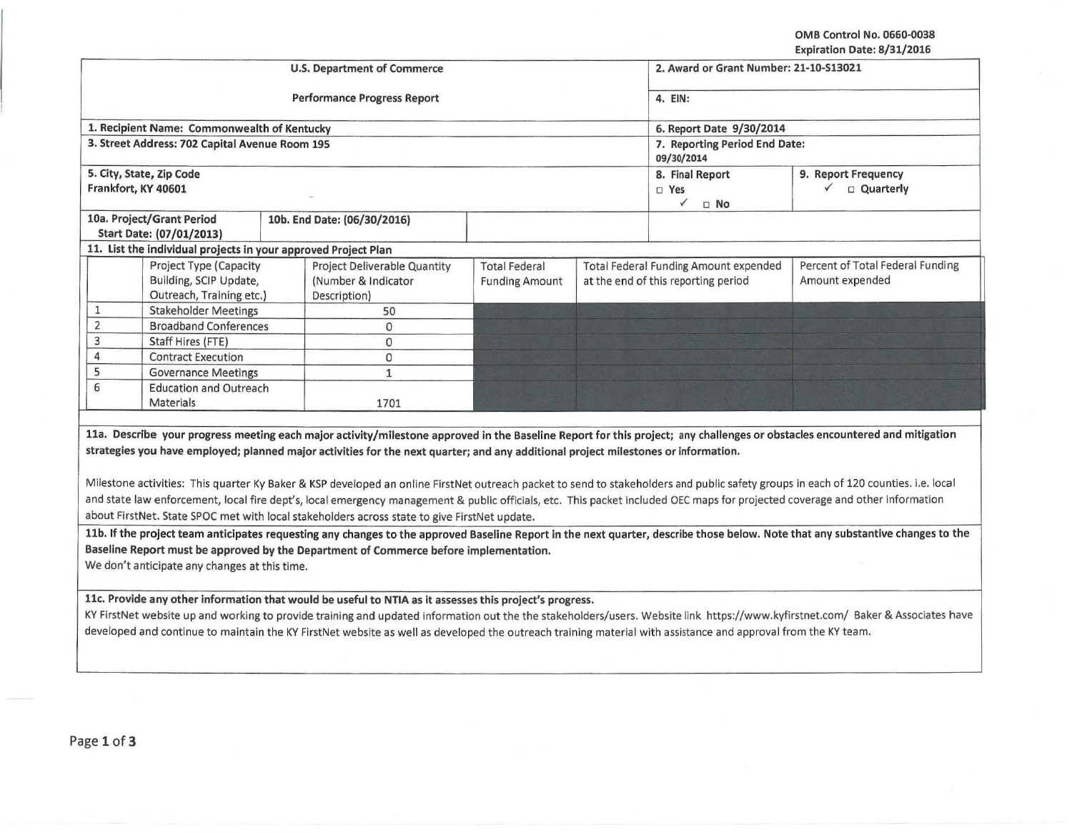OMB Control No. 0660-0038 Expiration Date: 8/31/2016

|                                                                                      |                                                                                                                                                                                                                                    | <b>U.S. Department of Commerce</b>                                  |                                               | 2. Award or Grant Number: 21-10-S13021<br>4. EIN:<br>6. Report Date 9/30/2014<br>7. Reporting Period End Date:<br>09/30/2014                                                                                                                                                                                                                                                                                                                                                                                                                      |                                                      |  |
|--------------------------------------------------------------------------------------|------------------------------------------------------------------------------------------------------------------------------------------------------------------------------------------------------------------------------------|---------------------------------------------------------------------|-----------------------------------------------|---------------------------------------------------------------------------------------------------------------------------------------------------------------------------------------------------------------------------------------------------------------------------------------------------------------------------------------------------------------------------------------------------------------------------------------------------------------------------------------------------------------------------------------------------|------------------------------------------------------|--|
|                                                                                      |                                                                                                                                                                                                                                    | <b>Performance Progress Report</b>                                  |                                               |                                                                                                                                                                                                                                                                                                                                                                                                                                                                                                                                                   |                                                      |  |
|                                                                                      | 1. Recipient Name: Commonwealth of Kentucky                                                                                                                                                                                        |                                                                     |                                               |                                                                                                                                                                                                                                                                                                                                                                                                                                                                                                                                                   |                                                      |  |
|                                                                                      | 3. Street Address: 702 Capital Avenue Room 195                                                                                                                                                                                     |                                                                     |                                               |                                                                                                                                                                                                                                                                                                                                                                                                                                                                                                                                                   |                                                      |  |
|                                                                                      | 5. City, State, Zip Code<br>Frankfort, KY 40601                                                                                                                                                                                    |                                                                     |                                               | 8. Final Report<br>$\square$ Yes<br>$\checkmark$<br>$\Box$ No                                                                                                                                                                                                                                                                                                                                                                                                                                                                                     | 9. Report Frequency<br>$\checkmark$ $\Box$ Quarterly |  |
| 10a. Project/Grant Period<br>10b. End Date: (06/30/2016)<br>Start Date: (07/01/2013) |                                                                                                                                                                                                                                    |                                                                     |                                               |                                                                                                                                                                                                                                                                                                                                                                                                                                                                                                                                                   |                                                      |  |
|                                                                                      | 11. List the individual projects in your approved Project Plan                                                                                                                                                                     |                                                                     |                                               |                                                                                                                                                                                                                                                                                                                                                                                                                                                                                                                                                   |                                                      |  |
|                                                                                      | Project Type (Capacity<br>Building, SCIP Update,<br>Outreach, Training etc.)                                                                                                                                                       | Project Deliverable Quantity<br>(Number & Indicator<br>Description) | <b>Total Federal</b><br><b>Funding Amount</b> | <b>Total Federal Funding Amount expended</b><br>at the end of this reporting period                                                                                                                                                                                                                                                                                                                                                                                                                                                               | Percent of Total Federal Funding<br>Amount expended  |  |
| $\mathbf{1}$                                                                         | <b>Stakeholder Meetings</b>                                                                                                                                                                                                        | 50                                                                  |                                               |                                                                                                                                                                                                                                                                                                                                                                                                                                                                                                                                                   |                                                      |  |
| $\overline{2}$                                                                       | <b>Broadband Conferences</b>                                                                                                                                                                                                       | $\mathbf{0}$                                                        |                                               |                                                                                                                                                                                                                                                                                                                                                                                                                                                                                                                                                   |                                                      |  |
| $\mathsf 3$                                                                          | Staff Hires (FTE)                                                                                                                                                                                                                  | $\mathbf{O}$                                                        |                                               |                                                                                                                                                                                                                                                                                                                                                                                                                                                                                                                                                   |                                                      |  |
| $\overline{4}$                                                                       | <b>Contract Execution</b>                                                                                                                                                                                                          | $\circ$                                                             |                                               |                                                                                                                                                                                                                                                                                                                                                                                                                                                                                                                                                   |                                                      |  |
| 5                                                                                    | <b>Governance Meetings</b>                                                                                                                                                                                                         | $\mathbf{1}$                                                        |                                               |                                                                                                                                                                                                                                                                                                                                                                                                                                                                                                                                                   |                                                      |  |
| 6                                                                                    | <b>Education and Outreach</b><br>Materials                                                                                                                                                                                         | 1701                                                                |                                               |                                                                                                                                                                                                                                                                                                                                                                                                                                                                                                                                                   |                                                      |  |
|                                                                                      |                                                                                                                                                                                                                                    |                                                                     |                                               |                                                                                                                                                                                                                                                                                                                                                                                                                                                                                                                                                   |                                                      |  |
|                                                                                      | strategies you have employed; planned major activities for the next quarter; and any additional project milestones or information.<br>about FirstNet. State SPOC met with local stakeholders across state to give FirstNet update. |                                                                     |                                               | 11a. Describe your progress meeting each major activity/milestone approved in the Baseline Report for this project; any challenges or obstacles encountered and mitigation<br>Milestone activities: This quarter Ky Baker & KSP developed an online FirstNet outreach packet to send to stakeholders and public safety groups in each of 120 counties. i.e. local<br>and state law enforcement, local fire dept's, local emergency management & public officials, etc. This packet included OEC maps for projected coverage and other information |                                                      |  |
|                                                                                      | Baseline Report must be approved by the Department of Commerce before implementation.<br>We don't anticipate any changes at this time.                                                                                             |                                                                     |                                               | 11b. If the project team anticipates requesting any changes to the approved Baseline Report in the next quarter, describe those below. Note that any substantive changes to the                                                                                                                                                                                                                                                                                                                                                                   |                                                      |  |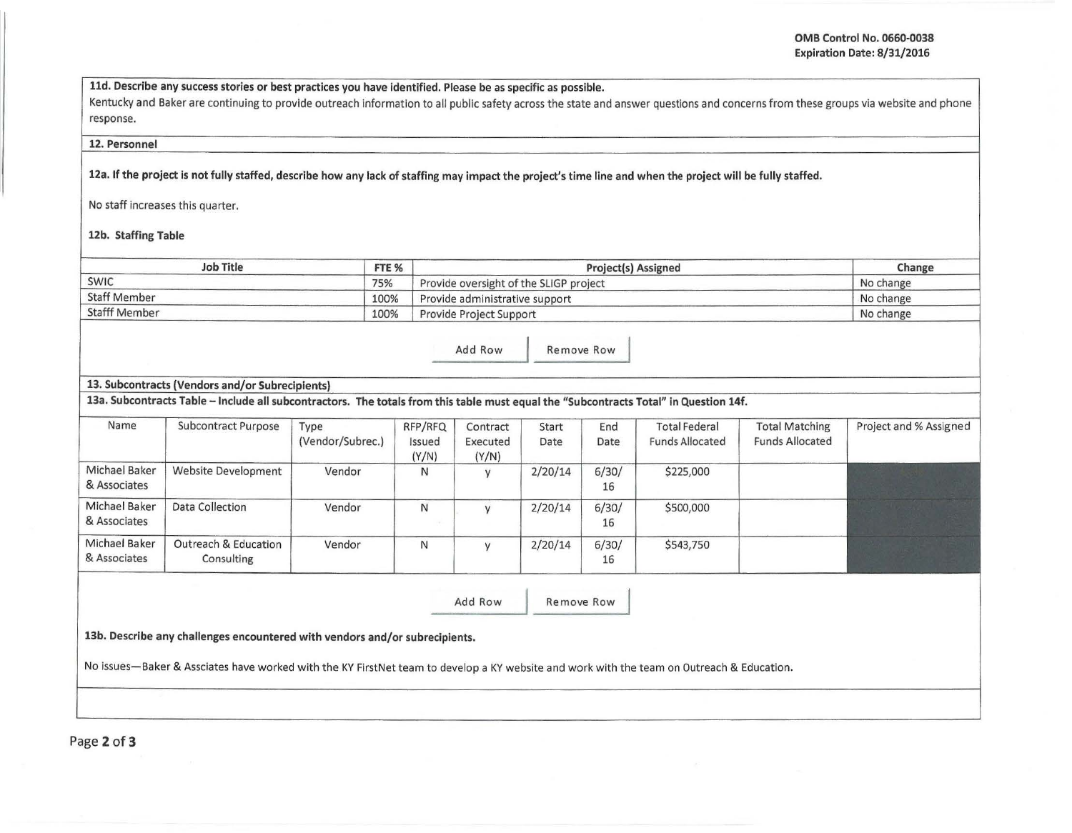lld. Describe any success stories or best practices you have identified. Please be as specific as possible.

Kentucky and Baker are continuing to provide outreach information to all public safety across the state and answer questions and concerns from these groups via website and phone response.

## 12. Personnel

12a. If the project is not fully staffed, describe how any lack of staffing may impact the project's time line and when the project will be fully staffed.

No staff increases this quarter.

12b. Staffing Table

| <b>Job Title</b>             | FTE % | <b>Project(s) Assigned</b>             | Change    |
|------------------------------|-------|----------------------------------------|-----------|
| <b>SWIC</b>                  | 75%   | Provide oversight of the SLIGP project | No change |
| <b>Staff Member</b>          | 100%  | Provide administrative support         | No change |
| <b>Stafff Member</b><br>100% |       | Provide Project Support                | No change |

Add Row Remove Row

## 13. Subcontracts (Vendors and/or Subrecipients)

13a. Subcontracts Table -Include all subcontractors. The totals from this table must equal the "Subcontracts Total" in Question 14f.

| Name                          | Subcontract Purpose                | Type<br>(Vendor/Subrec.) | RFP/RFQ<br>Issued<br>(Y/N) | Contract<br>Executed<br>(Y/N) | Start<br>Date | End<br>Date | <b>Total Federal</b><br><b>Funds Allocated</b> | <b>Total Matching</b><br><b>Funds Allocated</b> | Project and % Assigned |
|-------------------------------|------------------------------------|--------------------------|----------------------------|-------------------------------|---------------|-------------|------------------------------------------------|-------------------------------------------------|------------------------|
| Michael Baker<br>& Associates | <b>Website Development</b>         | Vendor                   | N                          |                               | 2/20/14       | 6/30/<br>16 | \$225,000                                      |                                                 |                        |
| Michael Baker<br>& Associates | Data Collection                    | Vendor                   | N                          |                               | 2/20/14       | 6/30/<br>16 | \$500,000                                      |                                                 |                        |
| Michael Baker<br>& Associates | Outreach & Education<br>Consulting | Vendor                   | N                          |                               | 2/20/14       | 6/30/<br>16 | \$543,750                                      |                                                 |                        |

Add Row Remove Row

13b. Describe any challenges encountered with vendors and/or subreciplents.

No issues-Baker & Assciates have worked with the KY FirstNet team to develop a KY website and work with the team on Outreach & Education.

Page 2 of 3